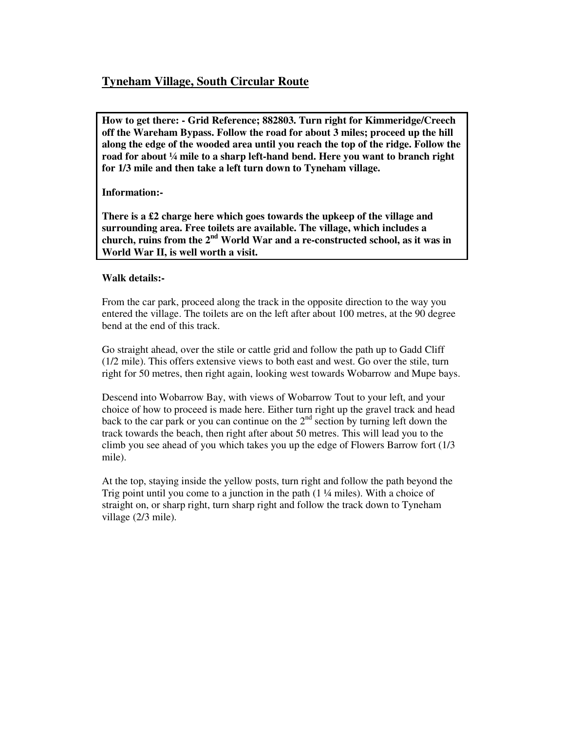## **Tyneham Village, South Circular Route**

**How to get there: - Grid Reference; 882803. Turn right for Kimmeridge/Creech off the Wareham Bypass. Follow the road for about 3 miles; proceed up the hill along the edge of the wooded area until you reach the top of the ridge. Follow the road for about ¼ mile to a sharp left-hand bend. Here you want to branch right for 1/3 mile and then take a left turn down to Tyneham village.** 

## **Information:-**

**There is a £2 charge here which goes towards the upkeep of the village and surrounding area. Free toilets are available. The village, which includes a church, ruins from the 2nd World War and a re-constructed school, as it was in World War II, is well worth a visit.** 

## **Walk details:-**

From the car park, proceed along the track in the opposite direction to the way you entered the village. The toilets are on the left after about 100 metres, at the 90 degree bend at the end of this track.

Go straight ahead, over the stile or cattle grid and follow the path up to Gadd Cliff (1/2 mile). This offers extensive views to both east and west. Go over the stile, turn right for 50 metres, then right again, looking west towards Wobarrow and Mupe bays.

Descend into Wobarrow Bay, with views of Wobarrow Tout to your left, and your choice of how to proceed is made here. Either turn right up the gravel track and head back to the car park or you can continue on the  $2<sup>nd</sup>$  section by turning left down the track towards the beach, then right after about 50 metres. This will lead you to the climb you see ahead of you which takes you up the edge of Flowers Barrow fort (1/3 mile).

At the top, staying inside the yellow posts, turn right and follow the path beyond the Trig point until you come to a junction in the path (1 ¼ miles). With a choice of straight on, or sharp right, turn sharp right and follow the track down to Tyneham village (2/3 mile).